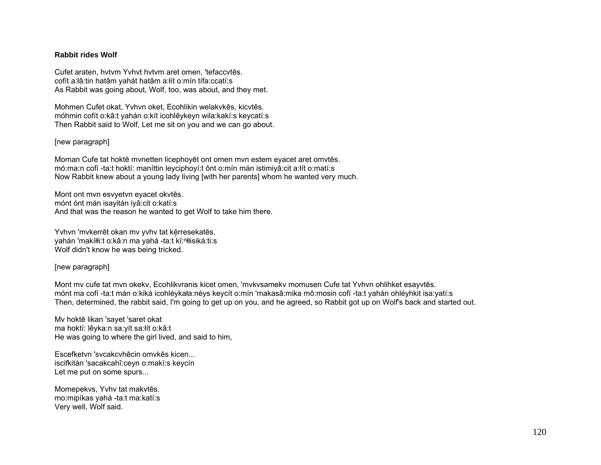### **Rabbit rides Wolf**

Cufet araten, hvtvm Yvhvt hvtvm aret omen, 'tefaccvtēs. cofít a:łâ:tin hatâm yahát hatâm a:łít o:mín tífa:ccatí:s As Rabbit was going about, Wolf, too, was about, and they met.

Mohmen Cufet okat, Yvhvn oket, Ecohlikin welakvkēs, kicvtēs. móhmin cofít o:kâ:t yahán o:kít icohlêykeyn wila:kakí:s keycatí:s Then Rabbit said to Wolf, Let me sit on you and we can go about.

### [new paragraph]

Moman Cufe tat hoktē mvnetten licephoyēt ont omen mvn estem eyacet aret omvtēs. mó:ma:n cofí -ta:t hoktí: maníttin leyciphoyí:t ônt o:mín mán istimiyâ:cit a:łít o:matí:s Now Rabbit knew about a young lady living [with her parents] whom he wanted very much.

Mont ont mvn esvyetvn eyacet okvtēs. mónt ónt mán isayitán iyâ:cit o:katí:s And that was the reason he wanted to get Wolf to take him there.

Yvhvn 'mvkerrēt okan mv yvhv tat kērresekatēs. yahán 'makíłłi:t o:kâ:n ma yahá -ta:t kĭ:ʰłłisiká:ti:s Wolf didn't know he was being tricked.

#### [new paragraph]

Mont mv cufe tat mvn okekv, Ecohlikvranis kicet omen, 'mvkvsamekv momusen Cufe tat Yvhvn ohlihket esayvtēs. mónt ma cofí -ta:t mán o:kiká icohléykała:néys keycít o:mín 'makasâ:mika mô:mosin cofí -ta:t yahán ohléyhkit isa:yatí:s Then, determined, the rabbit said, I'm going to get up on you, and he agreed, so Rabbit got up on Wolf's back and started out.

Mv hoktē likan 'sayet 'saret okat ma hoktí: lêyka:n sa:yít sa:łít o:kâ:t He was going to where the girl lived, and said to him,

Escefketvn 'svcakcvhēcin omvkēs kicen... iscifkitán 'sacakcahî:ceyn o:makí:s keycín Let me put on some spurs...

Momepekvs, Yvhv tat makvtēs. mo:mipíkas yahá -ta:t ma:katí:s Very well, Wolf said.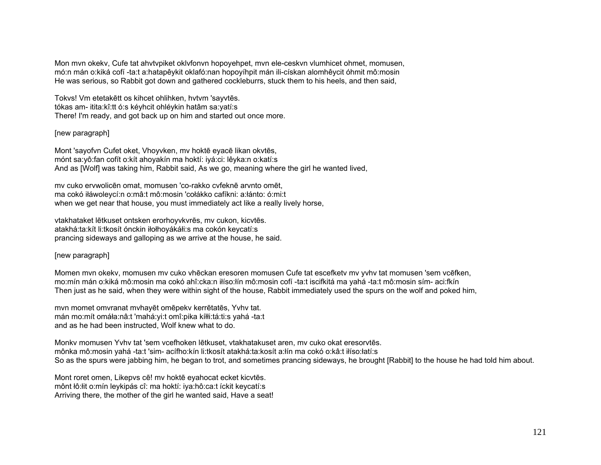Mon mvn okekv, Cufe tat ahvtvpiket oklvfonvn hopoyehpet, mvn ele-ceskvn vlumhicet ohmet, momusen, mó:n mán o:kiká cofí -ta:t a:hatapêykit oklafó:nan hopoyíhpit mán ili-cískan alomhêycit óhmit mô:mosin He was serious, so Rabbit got down and gathered cockleburrs, stuck them to his heels, and then said,

Tokvs! Vm etetakētt os kihcet ohlihken, hvtvm 'sayvtēs. tókas am- itita:kî:tt ó:s kéyhcit ohléykin hatâm sa:yatí:s There! I'm ready, and got back up on him and started out once more.

# [new paragraph]

Mont 'sayofvn Cufet oket, Vhoyvken, mv hoktē eyacē likan okvtēs, mónt sa:yô:fan cofít o:kít ahoyakín ma hoktí: iyá:ci: lêyka:n o:katí:s And as [Wolf] was taking him, Rabbit said, As we go, meaning where the girl he wanted lived,

mv cuko ervwolicēn omat, momusen 'co-rakko cvfeknē arvnto omēt, ma cokó iłáwoleycí:n o:mâ:t mô:mosin 'cołákko cafíkni: a:łánto: ó:mi:t when we get near that house, you must immediately act like a really lively horse,

vtakhataket lētkuset ontsken erorhoyvkvrēs, mv cukon, kicvtēs. atakhá:ta:kít li:tkosít ónckin iłołhoyákáłi:s ma cokón keycatí:s prancing sideways and galloping as we arrive at the house, he said.

#### [new paragraph]

Momen mvn okekv, momusen mv cuko vhēckan eresoren momusen Cufe tat escefketv mv yvhv tat momusen 'sem vcēfken, mo:mín mán o:kiká mô:mosin ma cokó ahî:cka:n iłíso:łín mô:mosin cofí -ta:t iscifkitá ma yahá -ta:t mô:mosin sím- aci:fkín Then just as he said, when they were within sight of the house, Rabbit immediately used the spurs on the wolf and poked him,

mvn momet omvranat mvhayēt omēpekv kerrētatēs, Yvhv tat. mán mo:mít omáła:nâ:t 'mahá:yi:t omî:pika kíłłi:tá:ti:s yahá -ta:t and as he had been instructed, Wolf knew what to do.

Monkv momusen Yvhv tat 'sem vcefhoken lētkuset, vtakhatakuset aren, mv cuko okat eresorvtēs. mônka mô:mosin yahá -ta:t 'sim- acífho:kín li:tkosít atakhá:ta:kosít a:łín ma cokó o:kâ:t iłíso:łatí:s So as the spurs were jabbing him, he began to trot, and sometimes prancing sideways, he brought [Rabbit] to the house he had told him about.

Mont roret omen, Likepvs cē! mv hoktē eyahocat ecket kicvtēs. mônt łô:łit o:mín leykipás cî: ma hoktí: iya:hô:ca:t íckit keycatí:s Arriving there, the mother of the girl he wanted said, Have a seat!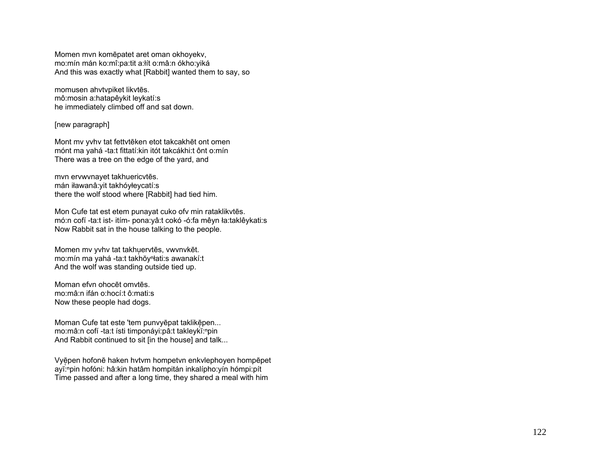Momen mvn komēpatet aret oman okhoyekv, mo:mín mán ko:mî:pa:tit a:łít o:mâ:n ókho:yiká And this was exactly what [Rabbit] wanted them to say, so

momusen ahvtvpiket likvtēs. mô:mosin a:hatapêykit leykatí:s he immediately climbed off and sat down.

[new paragraph]

Mont mv yvhv tat fettvtēken etot takcakhēt ont omen mónt ma yahá -ta:t fittatí:kin itót takcákhi:t ônt o:mín There was a tree on the edge of the yard, and

mvn ervwvnayet takhuericvtēs. mán iławanâ:yit takhóyłeycatí:s there the wolf stood where [Rabbit] had tied him.

Mon Cufe tat est etem punayat cuko ofv min rataklikvtēs. mó:n cofí -ta:t ist- itím- pona:yâ:t cokó -ó:fa mêyn ła:taklêykati:s Now Rabbit sat in the house talking to the people.

Momen mv yvhv tat takhuervtēs, vwvnvkēt. mo:mín ma yahá -ta:t takhŏyⁿłati:s awanakí:t And the wolf was standing outside tied up.

Moman efvn ohocēt omvtēs. mo:mâ:n ifán o:hocí:t ô:mati:s Now these people had dogs.

Moman Cufe tat este 'tem punvyēpat taklikēpen... mo:mâ:n cofí -ta:t ísti timponáyi:pâ:t takleykĭ:<sup>ⁿ</sup>pin And Rabbit continued to sit [in the house] and talk...

Vyēpen hofonē haken hvtvm hompetvn enkvlephoyen hompēpet ayĭ:<sup>n</sup>pin hofóni: hâ:kin hatâm hompitán inkalípho:yín hómpi:pít Time passed and after a long time, they shared a meal with him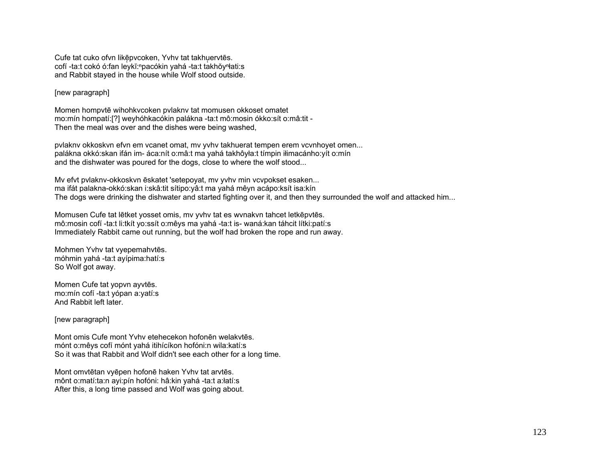Cufe tat cuko ofvn likēpvcoken, Yvhv tat takhu̯ervtēs. cofí -ta:t cokó ó:fan leykĭ:<sup>n</sup>pacókin yahá -ta:t takhŏy<sup>n</sup>łati:s and Rabbit stayed in the house while Wolf stood outside.

### [new paragraph]

Momen hompvtē wihohkvcoken pvlaknv tat momusen okkoset omatet mo:mín hompatí:[?] weyhóhkacókin palákna -ta:t mô:mosin ókko:sít o:mâ:tit - Then the meal was over and the dishes were being washed,

pvlaknv okkoskvn efvn em vcanet omat, mv yvhv takhuerat tempen erem vcvnhoyet omen... palákna okkó:skan ifán im- áca:nít o:mâ:t ma yahá takhôyła:t tímpin iłimacánho:yít o:mín and the dishwater was poured for the dogs, close to where the wolf stood...

Mv efvt pvlaknv-okkoskvn ēskatet 'setepoyat, mv yvhv min vcvpokset esaken... ma ifát palakna-okkó:skan i:skâ:tit sítipo:yâ:t ma yahá mêyn acápo:ksít isa:kín The dogs were drinking the dishwater and started fighting over it, and then they surrounded the wolf and attacked him...

Momusen Cufe tat lētket yosset omis, mv yvhv tat es wvnakvn tahcet letkēpvtēs. mô:mosin cofí -ta:t li:tkít yo:ssít o:mêys ma yahá -ta:t is- waná:kan táhcit lítki:patí:s Immediately Rabbit came out running, but the wolf had broken the rope and run away.

Mohmen Yvhv tat vyepemahvtēs. móhmin yahá -ta:t ayípima:hatí:s So Wolf got away.

Momen Cufe tat yopvn ayvtēs. mo:mín cofí -ta:t yópan a:yatí:s And Rabbit left later.

[new paragraph]

Mont omis Cufe mont Yvhv etehecekon hofonēn welakvtēs. mónt o:mêys cofí mónt yahá itihícíkon hofóni:n wila:katí:s So it was that Rabbit and Wolf didn't see each other for a long time.

Mont omvtētan vyēpen hofonē haken Yvhv tat arvtēs. mônt o:matí:ta:n ayi:pín hofóni: hâ:kin yahá -ta:t a:łatí:s After this, a long time passed and Wolf was going about.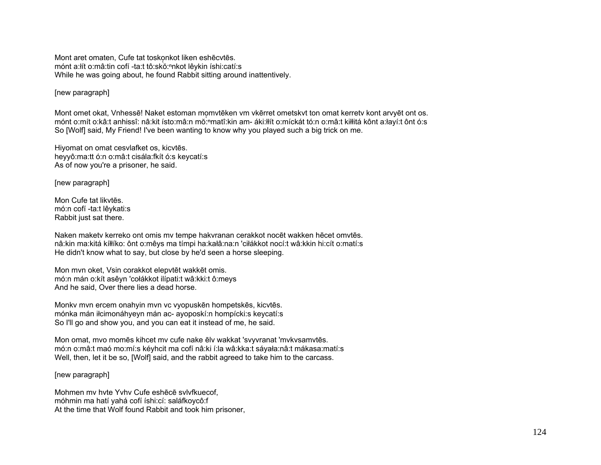Mont aret omaten, Cufe tat toskonkot liken eshēcvtēs. mónt a:łít o:mâ:tin cofí -ta:t tô:skŏ:<sup>n</sup>nkot lêykin íshi:catí:s While he was going about, he found Rabbit sitting around inattentively.

# [new paragraph]

Mont omet okat, Vnhessē! Naket estoman momvtēken vm vkērret ometskvt ton omat kerretv kont arvyēt ont os. mónt o:mít o:kâ:t anhissî: nâ:kit ísto:mâ:n mŏ:ʰmatî:kin am- áki:łłít o:míckát tó:n o:mâ:t kiłłitá kônt a:łayí:t ônt ó:s So [Wolf] said, My Friend! I've been wanting to know why you played such a big trick on me.

Hiyomat on omat cesvlafket os, kicvtēs. heyyô:ma:tt ó:n o:mâ:t cisála:fkít ó:s keycatí:s As of now you're a prisoner, he said.

[new paragraph]

Mon Cufe tat likvtēs. mó:n cofí -ta:t lêykati:s Rabbit just sat there.

Naken maketv kerreko ont omis mv tempe hakvranan cerakkot nocēt wakken hēcet omvtēs. nâ:kin ma:kitá kíłłíko: ônt o:mêys ma tímpi ha:kałâ:na:n 'ciłákkot nocí:t wâ:kkin hi:cít o:matí:s He didn't know what to say, but close by he'd seen a horse sleeping.

Mon mvn oket, Vsin corakkot elepvtēt wakkēt omis. mó:n mán o:kít asêyn 'cołákkot ilípati:t wâ:kki:t ô:meys And he said, Over there lies a dead horse.

Monkv mvn ercem onahyin mvn vc vyopuskēn hompetskēs, kicvtēs. mónka mán iłcimonáhyeyn mán ac- ayoposkí:n hompícki:s keycatí:s So I'll go and show you, and you can eat it instead of me, he said.

Mon omat, mvo momēs kihcet mv cufe nake ēlv wakkat 'svyvranat 'mvkvsamvtēs. mó:n o:mâ:t maó mo:mí:s kéyhcit ma cofí nâ:ki í:la wâ:kka:t sáyała:nâ:t mákasa:matí:s Well, then, let it be so, [Wolf] said, and the rabbit agreed to take him to the carcass.

# [new paragraph]

Mohmen mv hvte Yvhv Cufe eshēcē svlvfkuecof, móhmin ma hatí yahá cofí íshi:cí: saláfkoycô:f At the time that Wolf found Rabbit and took him prisoner,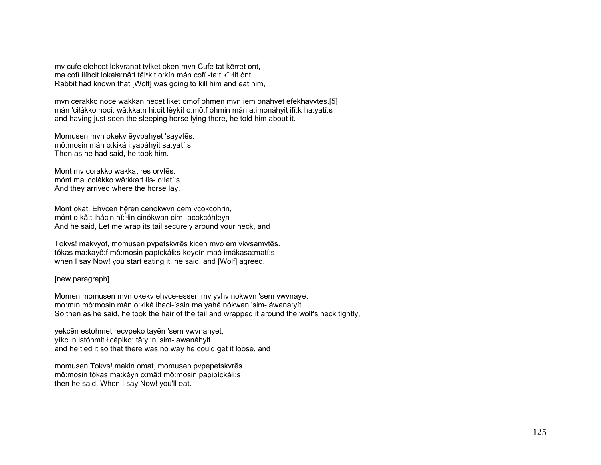my cufe elehcet lokyranat tylket oken myn Cufe tat kerret ont. ma cofí ilíhcit lokáła:nâ:t tălnkit o:kín mán cofí -ta:t kî:łłit ónt Rabbit had known that [Wolf] was going to kill him and eat him,

myn cerakko nocē wakkan hēcet liket omof ohmen myn iem onahyet efekhayytēs.[5] mán 'ciłákko nocí: wâ:kka:n hi:cít lêykit o:mô:f óhmin mán a:imonáhyit ifí:k ha:yatí:s and having just seen the sleeping horse lying there, he told him about it.

Momusen mvn okeky ēyvpahyet 'sayytēs. mô:mosin mán o:kiká i:yapáhyit sa:yatí:s Then as he had said, he took him.

Mont my corakko wakkat res orytes. mónt ma 'cołákko wâ:kka:t łís- o:łatí:s And they arrived where the horse lay.

Mont okat, Ehvcen hēren cenokwvn cem vcokcohrin, mónt o: kâ: t ihácin hǐ: hin cinókwan cim- acokcóhłeyn And he said, Let me wrap its tail securely around your neck, and

Tokvs! makvyof, momusen pvpetskvrēs kicen mvo em vkvsamvtēs. tókas ma: kayô: f mô: mosin papíckáli: s keycín maó imákasa: matí: s when I say Now! you start eating it, he said, and [Wolf] agreed.

[new paragraph]

Momen momusen mvn okeky ehvce-essen mv yvhv nokwyn 'sem vwynayet mo:mín mô:mosin mán o:kiká ihaci-íssin ma yahá nókwan 'sim- áwana:yít So then as he said, he took the hair of the tail and wrapped it around the wolf's neck tightly.

yekcēn estohmet recvpeko tayēn 'sem vwynahyet, yíkci:n istóhmit łicápiko: tâ:yi:n 'sim- awanáhyit and he tied it so that there was no way he could get it loose, and

momusen Tokvs! makin omat, momusen pvpepetskvrēs. mô:mosin tókas ma:kéyn o:mâ:t mô:mosin papipíckáłi:s then he said, When I say Now! you'll eat.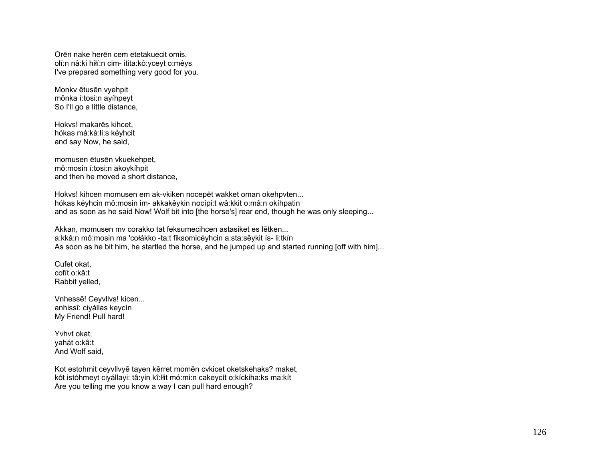Orēn nake herēn cem etetakuecit omis. ołí:n nâ:ki hiłí:n cim- itita:kô:yceyt o:méys I've prepared something very good for you.

Monkv ētusēn vyehpit mônka í:tosi:n avíhpeyt So I'll go a little distance,

Hokys! makarēs kihcet. hókas má:ká:łi:s kéyhcit and say Now, he said,

momusen ētusēn vkuekehpet, mô:mosin í:tosi:n akoykíhpit and then he moved a short distance.

Hokvs! kihcen momusen em ak-vkiken nocepēt wakket oman okehpvten... hókas kéyhcin mô:mosin im- akkakêykin nocípi:t wâ:kkit o:mâ:n okíhpatin and as soon as he said Now! Wolf bit into [the horse's] rear end, though he was only sleeping...

Akkan, momusen my corakko tat feksumecihcen astasiket es lētken... a:kkâ:n mô:mosin ma 'cołákko -ta:t fiksomicéyhcin a:sta:sêykit ís- li:tkín As soon as he bit him, he startled the horse, and he jumped up and started running [off with him]...

Cufet okat. cofít o:kâ:t Rabbit yelled,

Vnhessē! Ceyvllvs! kicen... anhissî: civállas keycín My Friend! Pull hard!

Yvhyt okat. vahát o:kâ:t And Wolf said.

Kot estohmit ceyvllvyē tayen kērret momēn cykicet oketskehaks? maket, kót istóhmeyt ciyállayi: tâ:yin kî:łłit mó:mi:n cakeycít o:kíckiha:ks ma:kít Are you telling me you know a way I can pull hard enough?